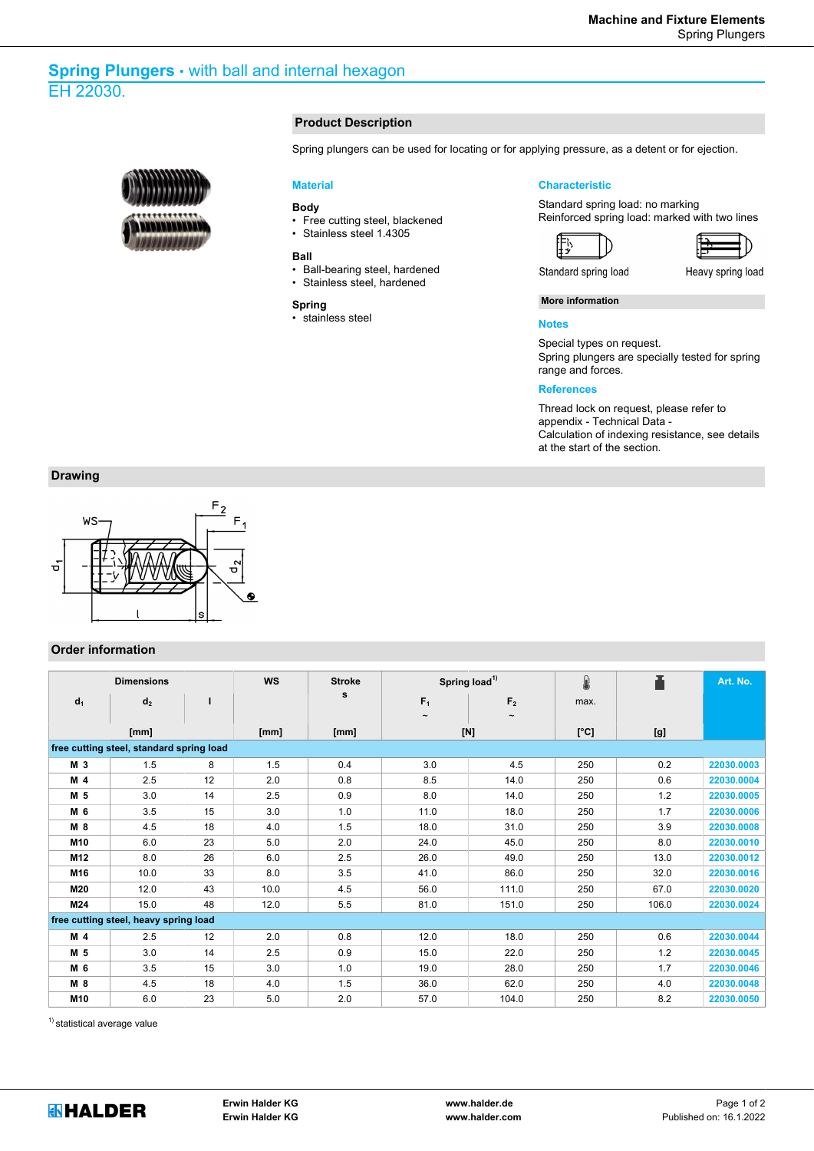# **Spring Plungers** • with ball and internal hexagon EH 22030.



#### **Product Description**

Spring plungers can be used for locating or for applying pressure, as a detent or for ejection.

#### **Material**

## **Body**

- Free cutting steel, blackened
- Stainless steel 1.4305

#### **Ball**

- Ball-bearing steel, hardened
- Stainless steel, hardened

#### **Spring**

• stainless steel

### **Characteristic**

Standard spring load: no marking Reinforced spring load: marked with two lines





Heavy spring load

Standard spring load

∰

**More information**

## **Notes**

Special types on request. Spring plungers are specially tested for spring range and forces.

## **References**

Thread lock on request, please refer to appendix - Technical Data - Calculation of indexing resistance, see details at the start of the section.

# **Drawing**



# **Order information**

| <b>Dimensions</b>                        |                |      | <b>WS</b> | <b>Stroke</b> |                | Spring load <sup>1)</sup> | 8    |       | Art. No.   |  |  |  |
|------------------------------------------|----------------|------|-----------|---------------|----------------|---------------------------|------|-------|------------|--|--|--|
| $d_1$                                    | d <sub>2</sub> |      |           | s             | F <sub>1</sub> | F <sub>2</sub>            | max. |       |            |  |  |  |
|                                          |                |      |           |               | $\tilde{}$     | $\tilde{}$                |      |       |            |  |  |  |
| [mm]                                     |                | [mm] | [mm]      | $[{\sf N}]$   |                | [°C]                      | [g]  |       |            |  |  |  |
| free cutting steel, standard spring load |                |      |           |               |                |                           |      |       |            |  |  |  |
| M 3                                      | 1.5            | 8    | 1.5       | 0.4           | 3.0            | 4.5                       | 250  | 0.2   | 22030.0003 |  |  |  |
| M <sub>4</sub>                           | 2.5            | 12   | 2.0       | 0.8           | 8.5            | 14.0                      | 250  | 0.6   | 22030.0004 |  |  |  |
| M 5                                      | 3.0            | 14   | 2.5       | 0.9           | 8.0            | 14.0                      | 250  | 1.2   | 22030.0005 |  |  |  |
| M 6                                      | 3.5            | 15   | 3.0       | 1.0           | 11.0           | 18.0                      | 250  | 1.7   | 22030.0006 |  |  |  |
| M 8                                      | 4.5            | 18   | 4.0       | 1.5           | 18.0           | 31.0                      | 250  | 3.9   | 22030.0008 |  |  |  |
| M <sub>10</sub>                          | 6.0            | 23   | 5.0       | 2.0           | 24.0           | 45.0                      | 250  | 8.0   | 22030.0010 |  |  |  |
| M <sub>12</sub>                          | 8.0            | 26   | 6.0       | 2.5           | 26.0           | 49.0                      | 250  | 13.0  | 22030.0012 |  |  |  |
| M16                                      | 10.0           | 33   | 8.0       | 3.5           | 41.0           | 86.0                      | 250  | 32.0  | 22030.0016 |  |  |  |
| M20                                      | 12.0           | 43   | 10.0      | 4.5           | 56.0           | 111.0                     | 250  | 67.0  | 22030.0020 |  |  |  |
| M24                                      | 15.0           | 48   | 12.0      | 5.5           | 81.0           | 151.0                     | 250  | 106.0 | 22030.0024 |  |  |  |
| free cutting steel, heavy spring load    |                |      |           |               |                |                           |      |       |            |  |  |  |
| M <sub>4</sub>                           | 2.5            | 12   | 2.0       | 0.8           | 12.0           | 18.0                      | 250  | 0.6   | 22030.0044 |  |  |  |
| M 5                                      | 3.0            | 14   | 2.5       | 0.9           | 15.0           | 22.0                      | 250  | 1.2   | 22030.0045 |  |  |  |
| M 6                                      | 3.5            | 15   | 3.0       | 1.0           | 19.0           | 28.0                      | 250  | 1.7   | 22030.0046 |  |  |  |
| M 8                                      | 4.5            | 18   | 4.0       | 1.5           | 36.0           | 62.0                      | 250  | 4.0   | 22030.0048 |  |  |  |
| M10                                      | 6.0            | 23   | 5.0       | 2.0           | 57.0           | 104.0                     | 250  | 8.2   | 22030.0050 |  |  |  |

<sup>1)</sup> statistical average value